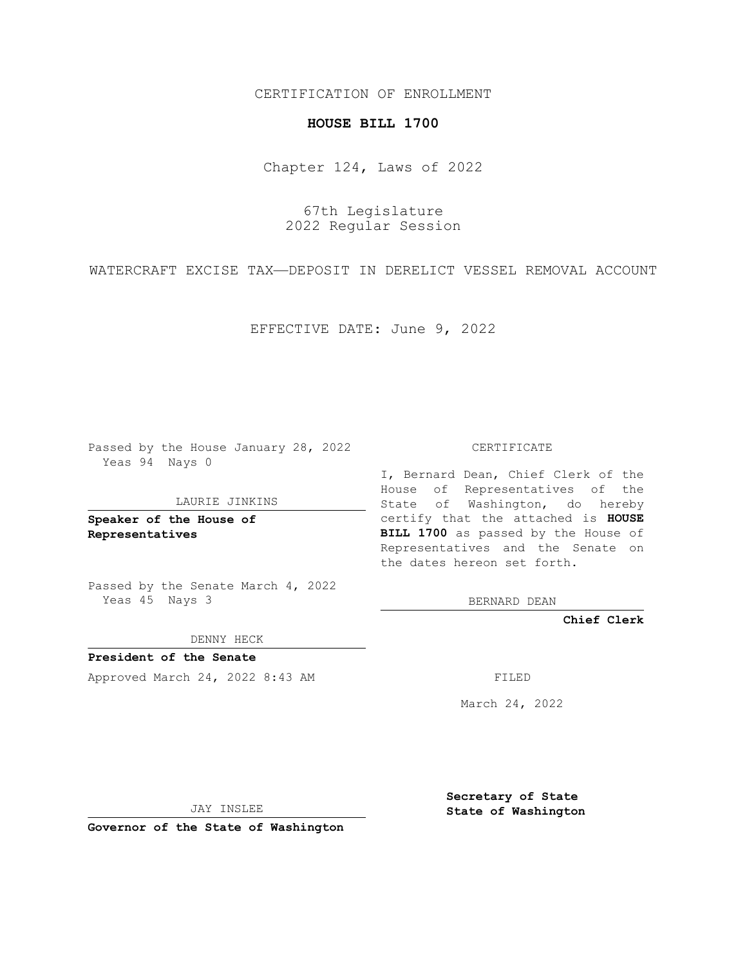# CERTIFICATION OF ENROLLMENT

### **HOUSE BILL 1700**

Chapter 124, Laws of 2022

67th Legislature 2022 Regular Session

WATERCRAFT EXCISE TAX—DEPOSIT IN DERELICT VESSEL REMOVAL ACCOUNT

EFFECTIVE DATE: June 9, 2022

Passed by the House January 28, 2022 Yeas 94 Nays 0

#### LAURIE JINKINS

**Speaker of the House of Representatives**

Passed by the Senate March 4, 2022 Yeas 45 Nays 3

DENNY HECK

**President of the Senate** Approved March 24, 2022 8:43 AM FILED

CERTIFICATE

I, Bernard Dean, Chief Clerk of the House of Representatives of the State of Washington, do hereby certify that the attached is **HOUSE BILL 1700** as passed by the House of Representatives and the Senate on the dates hereon set forth.

BERNARD DEAN

**Chief Clerk**

March 24, 2022

JAY INSLEE

**Governor of the State of Washington**

**Secretary of State State of Washington**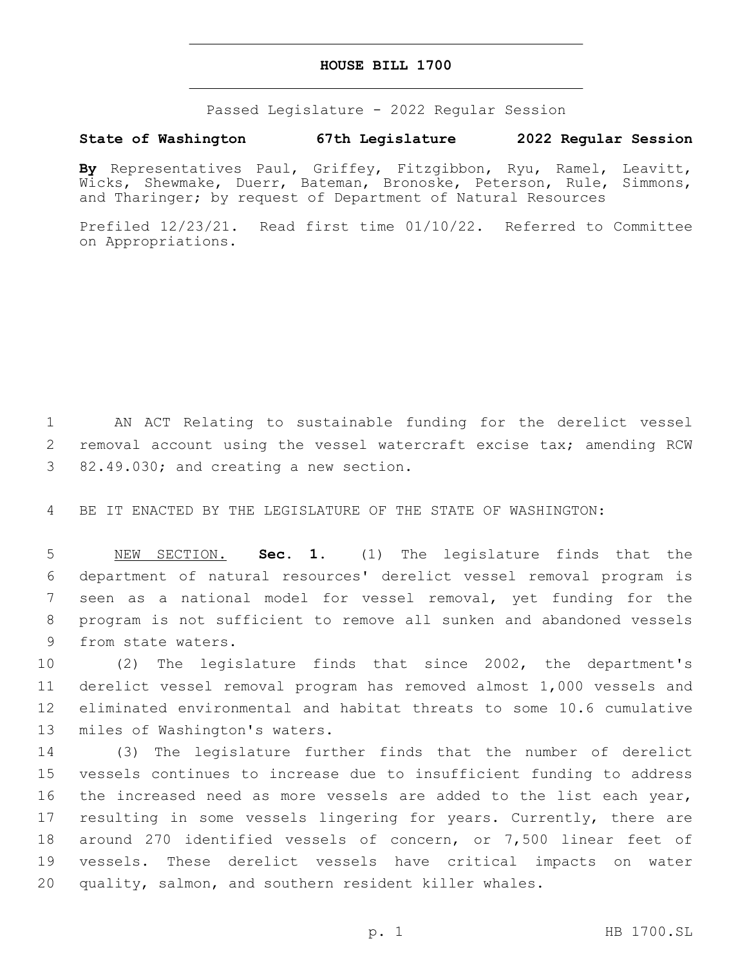### **HOUSE BILL 1700**

Passed Legislature - 2022 Regular Session

# **State of Washington 67th Legislature 2022 Regular Session**

**By** Representatives Paul, Griffey, Fitzgibbon, Ryu, Ramel, Leavitt, Wicks, Shewmake, Duerr, Bateman, Bronoske, Peterson, Rule, Simmons, and Tharinger; by request of Department of Natural Resources

Prefiled 12/23/21. Read first time 01/10/22. Referred to Committee on Appropriations.

1 AN ACT Relating to sustainable funding for the derelict vessel 2 removal account using the vessel watercraft excise tax; amending RCW 3 82.49.030; and creating a new section.

4 BE IT ENACTED BY THE LEGISLATURE OF THE STATE OF WASHINGTON:

 NEW SECTION. **Sec. 1.** (1) The legislature finds that the department of natural resources' derelict vessel removal program is seen as a national model for vessel removal, yet funding for the program is not sufficient to remove all sunken and abandoned vessels from state waters.

 (2) The legislature finds that since 2002, the department's derelict vessel removal program has removed almost 1,000 vessels and eliminated environmental and habitat threats to some 10.6 cumulative 13 miles of Washington's waters.

 (3) The legislature further finds that the number of derelict vessels continues to increase due to insufficient funding to address 16 the increased need as more vessels are added to the list each year, 17 resulting in some vessels lingering for years. Currently, there are around 270 identified vessels of concern, or 7,500 linear feet of vessels. These derelict vessels have critical impacts on water quality, salmon, and southern resident killer whales.